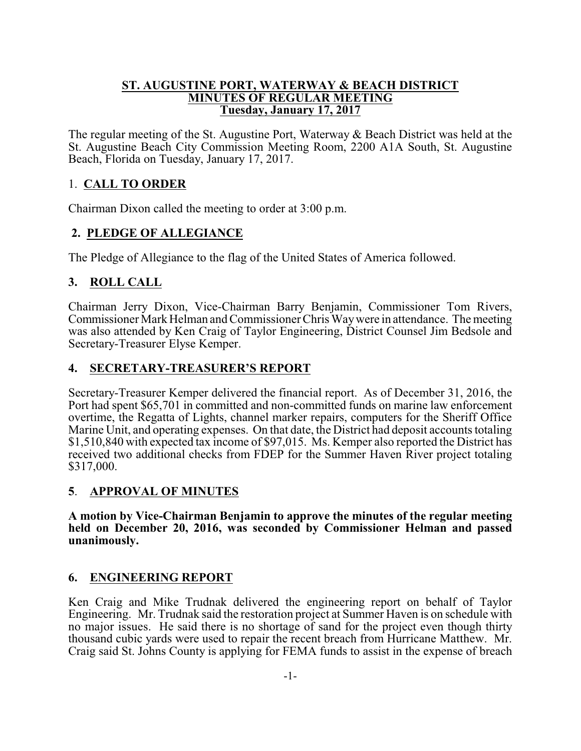#### **ST. AUGUSTINE PORT, WATERWAY & BEACH DISTRICT MINUTES OF REGULAR MEETING Tuesday, January 17, 2017**

The regular meeting of the St. Augustine Port, Waterway & Beach District was held at the St. Augustine Beach City Commission Meeting Room, 2200 A1A South, St. Augustine Beach, Florida on Tuesday, January 17, 2017.

## 1. **CALL TO ORDER**

Chairman Dixon called the meeting to order at 3:00 p.m.

## **2. PLEDGE OF ALLEGIANCE**

The Pledge of Allegiance to the flag of the United States of America followed.

## **3. ROLL CALL**

Chairman Jerry Dixon, Vice-Chairman Barry Benjamin, Commissioner Tom Rivers, Commissioner Mark Helman and Commissioner Chris Waywere in attendance. The meeting was also attended by Ken Craig of Taylor Engineering, District Counsel Jim Bedsole and Secretary-Treasurer Elyse Kemper.

### **4. SECRETARY-TREASURER'S REPORT**

Secretary-Treasurer Kemper delivered the financial report. As of December 31, 2016, the Port had spent \$65,701 in committed and non-committed funds on marine law enforcement overtime, the Regatta of Lights, channel marker repairs, computers for the Sheriff Office Marine Unit, and operating expenses. On that date, the District had deposit accounts totaling \$1,510,840 with expected tax income of \$97,015. Ms. Kemper also reported the District has received two additional checks from FDEP for the Summer Haven River project totaling \$317,000.

### **5**. **APPROVAL OF MINUTES**

**A motion by Vice-Chairman Benjamin to approve the minutes of the regular meeting held on December 20, 2016, was seconded by Commissioner Helman and passed unanimously.** 

### **6. ENGINEERING REPORT**

Ken Craig and Mike Trudnak delivered the engineering report on behalf of Taylor Engineering. Mr. Trudnak said the restoration project at Summer Haven is on schedule with no major issues. He said there is no shortage of sand for the project even though thirty thousand cubic yards were used to repair the recent breach from Hurricane Matthew. Mr. Craig said St. Johns County is applying for FEMA funds to assist in the expense of breach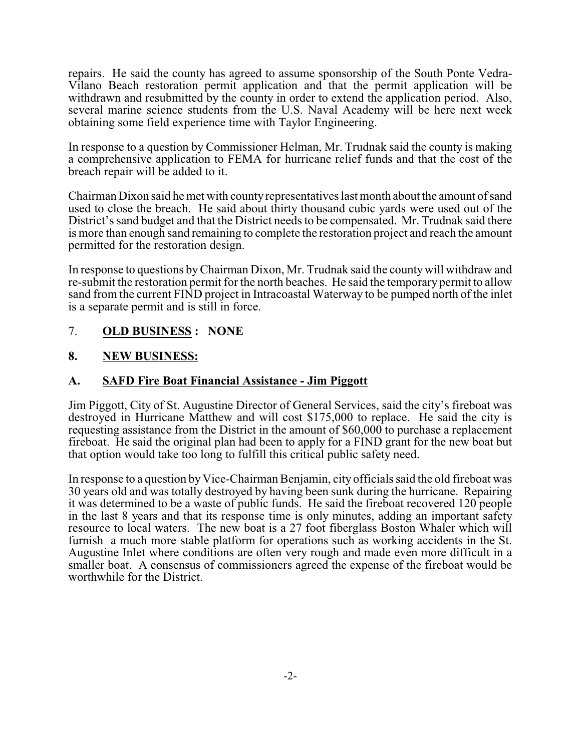repairs. He said the county has agreed to assume sponsorship of the South Ponte Vedra-Vilano Beach restoration permit application and that the permit application will be withdrawn and resubmitted by the county in order to extend the application period. Also, several marine science students from the U.S. Naval Academy will be here next week obtaining some field experience time with Taylor Engineering.

In response to a question by Commissioner Helman, Mr. Trudnak said the county is making a comprehensive application to FEMA for hurricane relief funds and that the cost of the breach repair will be added to it.

Chairman Dixon said he met with countyrepresentatives last month about the amount ofsand used to close the breach. He said about thirty thousand cubic yards were used out of the District's sand budget and that the District needs to be compensated. Mr. Trudnak said there is more than enough sand remaining to complete the restoration project and reach the amount permitted for the restoration design.

In response to questions byChairman Dixon, Mr. Trudnak said the countywill withdraw and re-submit the restoration permit for the north beaches. He said the temporary permit to allow sand from the current FIND project in Intracoastal Waterway to be pumped north of the inlet is a separate permit and is still in force.

7. **OLD BUSINESS : NONE**

### **8. NEW BUSINESS:**

### **A. SAFD Fire Boat Financial Assistance - Jim Piggott**

Jim Piggott, City of St. Augustine Director of General Services, said the city's fireboat was destroyed in Hurricane Matthew and will cost \$175,000 to replace. He said the city is requesting assistance from the District in the amount of \$60,000 to purchase a replacement fireboat. He said the original plan had been to apply for a FIND grant for the new boat but that option would take too long to fulfill this critical public safety need.

In response to a question by Vice-Chairman Benjamin, city officials said the old fireboat was 30 years old and was totally destroyed by having been sunk during the hurricane. Repairing it was determined to be a waste of public funds. He said the fireboat recovered 120 people in the last 8 years and that its response time is only minutes, adding an important safety resource to local waters. The new boat is a 27 foot fiberglass Boston Whaler which will furnish a much more stable platform for operations such as working accidents in the St. Augustine Inlet where conditions are often very rough and made even more difficult in a smaller boat. A consensus of commissioners agreed the expense of the fireboat would be worthwhile for the District.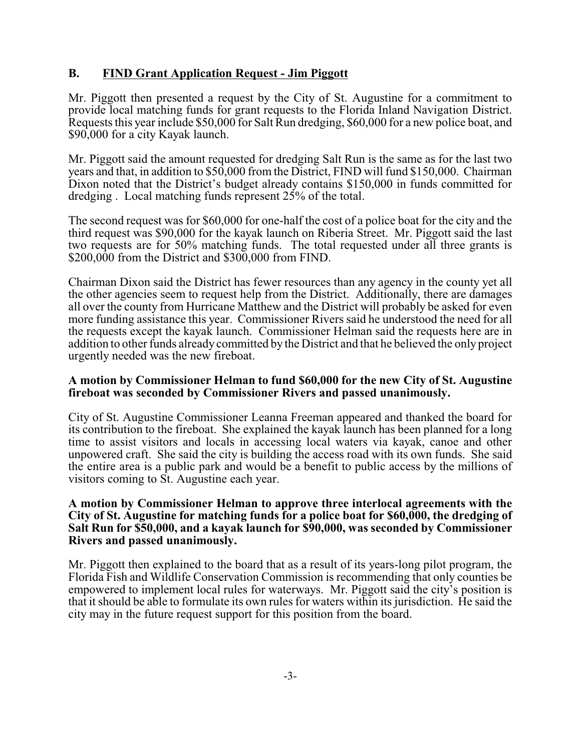### **B. FIND Grant Application Request - Jim Piggott**

Mr. Piggott then presented a request by the City of St. Augustine for a commitment to provide local matching funds for grant requests to the Florida Inland Navigation District. Requests this year include \$50,000 for Salt Run dredging, \$60,000 for a new police boat, and \$90,000 for a city Kayak launch.

Mr. Piggott said the amount requested for dredging Salt Run is the same as for the last two years and that, in addition to \$50,000 from the District, FIND will fund \$150,000. Chairman Dixon noted that the District's budget already contains \$150,000 in funds committed for dredging . Local matching funds represent 25% of the total.

The second request was for \$60,000 for one-half the cost of a police boat for the city and the third request was \$90,000 for the kayak launch on Riberia Street. Mr. Piggott said the last two requests are for 50% matching funds. The total requested under all three grants is \$200,000 from the District and \$300,000 from FIND.

Chairman Dixon said the District has fewer resources than any agency in the county yet all the other agencies seem to request help from the District. Additionally, there are damages all over the county from Hurricane Matthew and the District will probably be asked for even more funding assistance this year. Commissioner Rivers said he understood the need for all the requests except the kayak launch. Commissioner Helman said the requests here are in addition to other funds already committed by the District and that he believed the only project urgently needed was the new fireboat.

#### **A motion by Commissioner Helman to fund \$60,000 for the new City of St. Augustine fireboat was seconded by Commissioner Rivers and passed unanimously.**

City of St. Augustine Commissioner Leanna Freeman appeared and thanked the board for its contribution to the fireboat. She explained the kayak launch has been planned for a long time to assist visitors and locals in accessing local waters via kayak, canoe and other unpowered craft. She said the city is building the access road with its own funds. She said the entire area is a public park and would be a benefit to public access by the millions of visitors coming to St. Augustine each year.

#### **A motion by Commissioner Helman to approve three interlocal agreements with the City of St. Augustine for matching funds for a police boat for \$60,000, the dredging of Salt Run for \$50,000, and a kayak launch for \$90,000, was seconded by Commissioner Rivers and passed unanimously.**

Mr. Piggott then explained to the board that as a result of its years-long pilot program, the Florida Fish and Wildlife Conservation Commission is recommending that only counties be empowered to implement local rules for waterways. Mr. Piggott said the city's position is that it should be able to formulate its own rules for waters within its jurisdiction. He said the city may in the future request support for this position from the board.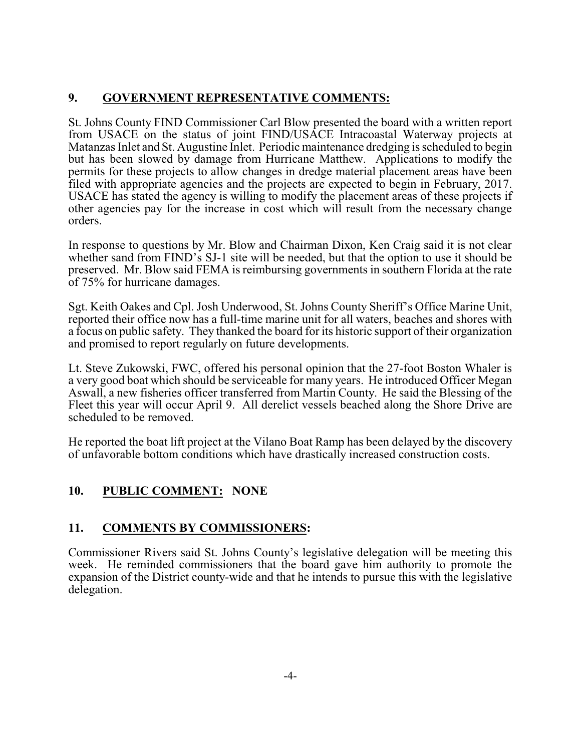## **9. GOVERNMENT REPRESENTATIVE COMMENTS:**

St. Johns County FIND Commissioner Carl Blow presented the board with a written report from USACE on the status of joint FIND/USACE Intracoastal Waterway projects at Matanzas Inlet and St. Augustine Inlet. Periodic maintenance dredging is scheduled to begin but has been slowed by damage from Hurricane Matthew. Applications to modify the permits for these projects to allow changes in dredge material placement areas have been filed with appropriate agencies and the projects are expected to begin in February, 2017. USACE has stated the agency is willing to modify the placement areas of these projects if other agencies pay for the increase in cost which will result from the necessary change orders.

In response to questions by Mr. Blow and Chairman Dixon, Ken Craig said it is not clear whether sand from FIND's SJ-1 site will be needed, but that the option to use it should be preserved. Mr. Blow said FEMA is reimbursing governments in southern Florida at the rate of 75% for hurricane damages.

Sgt. Keith Oakes and Cpl. Josh Underwood, St. Johns County Sheriff's Office Marine Unit, reported their office now has a full-time marine unit for all waters, beaches and shores with a focus on public safety. They thanked the board for its historic support of their organization and promised to report regularly on future developments.

Lt. Steve Zukowski, FWC, offered his personal opinion that the 27-foot Boston Whaler is a very good boat which should be serviceable for many years. He introduced Officer Megan Aswall, a new fisheries officer transferred from Martin County. He said the Blessing of the Fleet this year will occur April 9. All derelict vessels beached along the Shore Drive are scheduled to be removed.

He reported the boat lift project at the Vilano Boat Ramp has been delayed by the discovery of unfavorable bottom conditions which have drastically increased construction costs.

# **10. PUBLIC COMMENT: NONE**

# **11. COMMENTS BY COMMISSIONERS:**

Commissioner Rivers said St. Johns County's legislative delegation will be meeting this week. He reminded commissioners that the board gave him authority to promote the expansion of the District county-wide and that he intends to pursue this with the legislative delegation.